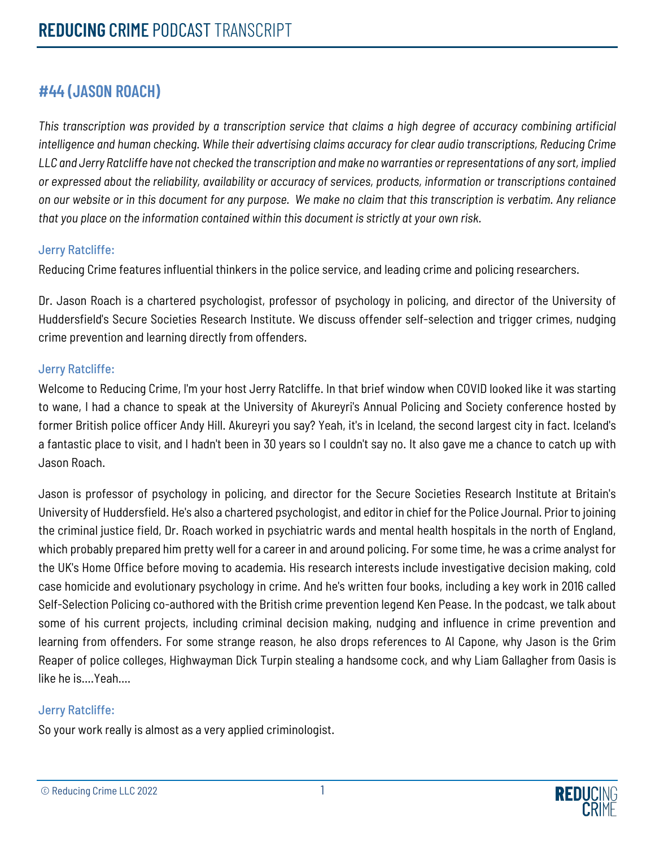# **#44 (JASON ROACH)**

*This transcription was provided by a transcription service that claims a high degree of accuracy combining artificial intelligence and human checking. While their advertising claims accuracy for clear audio transcriptions, Reducing Crime LLC and Jerry Ratcliffe have not checked the transcription and make no warranties or representations of any sort, implied or expressed about the reliability, availability or accuracy of services, products, information or transcriptions contained on our website or in this document for any purpose. We make no claim that this transcription is verbatim. Any reliance that you place on the information contained within this document is strictly at your own risk.*

# Jerry Ratcliffe:

Reducing Crime features influential thinkers in the police service, and leading crime and policing researchers.

Dr. Jason Roach is a chartered psychologist, professor of psychology in policing, and director of the University of Huddersfield's Secure Societies Research Institute. We discuss offender self-selection and trigger crimes, nudging crime prevention and learning directly from offenders.

# Jerry Ratcliffe:

Welcome to Reducing Crime, I'm your host Jerry Ratcliffe. In that brief window when COVID looked like it was starting to wane, I had a chance to speak at the University of Akureyri's Annual Policing and Society conference hosted by former British police officer Andy Hill. Akureyri you say? Yeah, it's in Iceland, the second largest city in fact. Iceland's a fantastic place to visit, and I hadn't been in 30 years so I couldn't say no. It also gave me a chance to catch up with Jason Roach.

Jason is professor of psychology in policing, and director for the Secure Societies Research Institute at Britain's University of Huddersfield. He's also a chartered psychologist, and editor in chief for the Police Journal. Prior to joining the criminal justice field, Dr. Roach worked in psychiatric wards and mental health hospitals in the north of England, which probably prepared him pretty well for a career in and around policing. For some time, he was a crime analyst for the UK's Home Office before moving to academia. His research interests include investigative decision making, cold case homicide and evolutionary psychology in crime. And he's written four books, including a key work in 2016 called Self-Selection Policing co-authored with the British crime prevention legend Ken Pease. In the podcast, we talk about some of his current projects, including criminal decision making, nudging and influence in crime prevention and learning from offenders. For some strange reason, he also drops references to Al Capone, why Jason is the Grim Reaper of police colleges, Highwayman Dick Turpin stealing a handsome cock, and why Liam Gallagher from Oasis is like he is….Yeah….

# Jerry Ratcliffe:

So your work really is almost as a very applied criminologist.

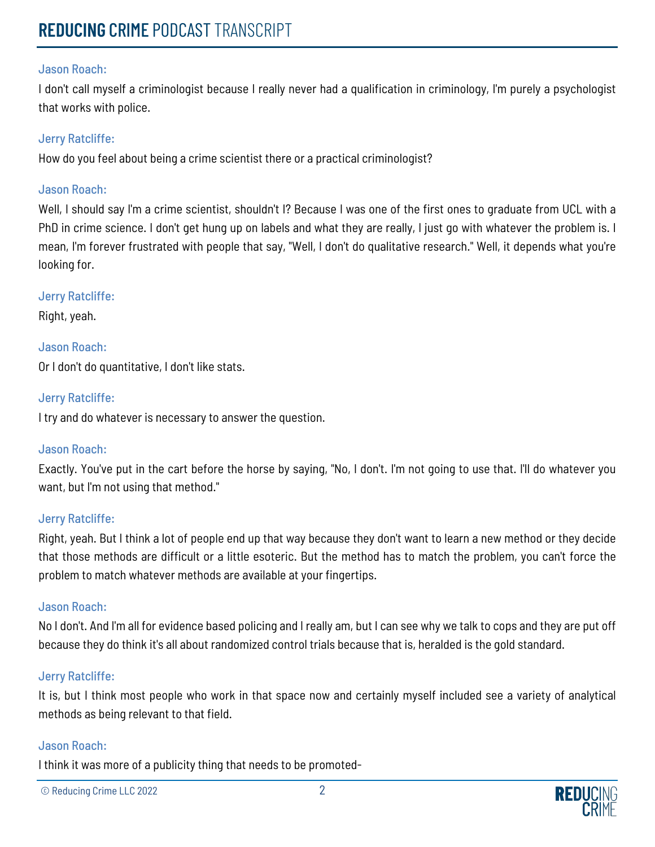I don't call myself a criminologist because I really never had a qualification in criminology, I'm purely a psychologist that works with police.

## Jerry Ratcliffe:

How do you feel about being a crime scientist there or a practical criminologist?

#### Jason Roach:

Well, I should say I'm a crime scientist, shouldn't I? Because I was one of the first ones to graduate from UCL with a PhD in crime science. I don't get hung up on labels and what they are really, I just go with whatever the problem is. I mean, I'm forever frustrated with people that say, "Well, I don't do qualitative research." Well, it depends what you're looking for.

#### Jerry Ratcliffe:

Right, yeah.

# Jason Roach:

Or I don't do quantitative, I don't like stats.

# Jerry Ratcliffe:

I try and do whatever is necessary to answer the question.

# Jason Roach:

Exactly. You've put in the cart before the horse by saying, "No, I don't. I'm not going to use that. I'll do whatever you want, but I'm not using that method."

# Jerry Ratcliffe:

Right, yeah. But I think a lot of people end up that way because they don't want to learn a new method or they decide that those methods are difficult or a little esoteric. But the method has to match the problem, you can't force the problem to match whatever methods are available at your fingertips.

#### Jason Roach:

No I don't. And I'm all for evidence based policing and I really am, but I can see why we talk to cops and they are put off because they do think it's all about randomized control trials because that is, heralded is the gold standard.

# Jerry Ratcliffe:

It is, but I think most people who work in that space now and certainly myself included see a variety of analytical methods as being relevant to that field.

#### Jason Roach:

I think it was more of a publicity thing that needs to be promoted-

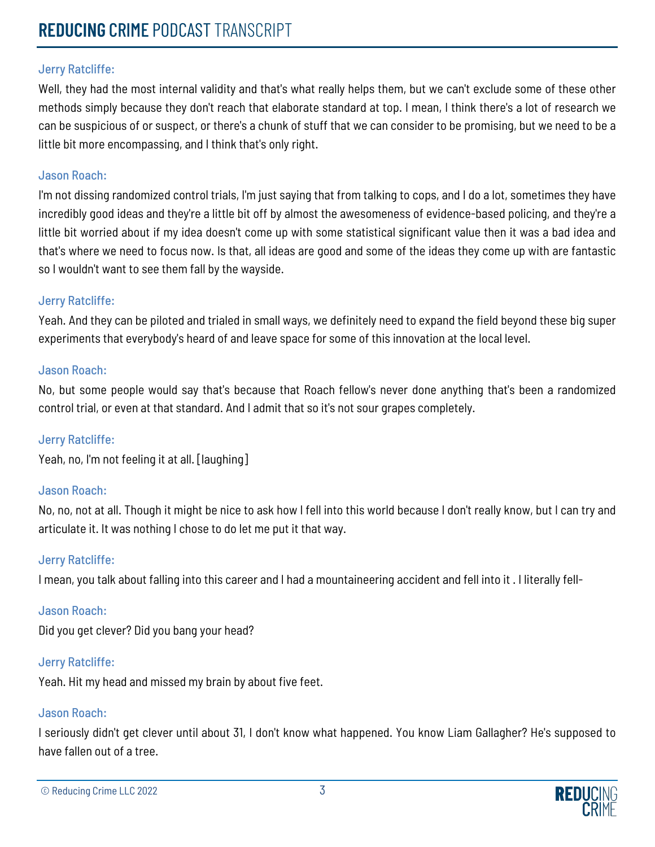Well, they had the most internal validity and that's what really helps them, but we can't exclude some of these other methods simply because they don't reach that elaborate standard at top. I mean, I think there's a lot of research we can be suspicious of or suspect, or there's a chunk of stuff that we can consider to be promising, but we need to be a little bit more encompassing, and I think that's only right.

## Jason Roach:

I'm not dissing randomized control trials, I'm just saying that from talking to cops, and I do a lot, sometimes they have incredibly good ideas and they're a little bit off by almost the awesomeness of evidence-based policing, and they're a little bit worried about if my idea doesn't come up with some statistical significant value then it was a bad idea and that's where we need to focus now. Is that, all ideas are good and some of the ideas they come up with are fantastic so I wouldn't want to see them fall by the wayside.

#### Jerry Ratcliffe:

Yeah. And they can be piloted and trialed in small ways, we definitely need to expand the field beyond these big super experiments that everybody's heard of and leave space for some of this innovation at the local level.

#### Jason Roach:

No, but some people would say that's because that Roach fellow's never done anything that's been a randomized control trial, or even at that standard. And I admit that so it's not sour grapes completely.

# Jerry Ratcliffe:

Yeah, no, I'm not feeling it at all. [laughing]

#### Jason Roach:

No, no, not at all. Though it might be nice to ask how I fell into this world because I don't really know, but I can try and articulate it. It was nothing I chose to do let me put it that way.

# Jerry Ratcliffe:

I mean, you talk about falling into this career and I had a mountaineering accident and fell into it . I literally fell-

#### Jason Roach:

Did you get clever? Did you bang your head?

# Jerry Ratcliffe:

Yeah. Hit my head and missed my brain by about five feet.

#### Jason Roach:

I seriously didn't get clever until about 31, I don't know what happened. You know Liam Gallagher? He's supposed to have fallen out of a tree.

© Reducing Crime LLC 2022 3

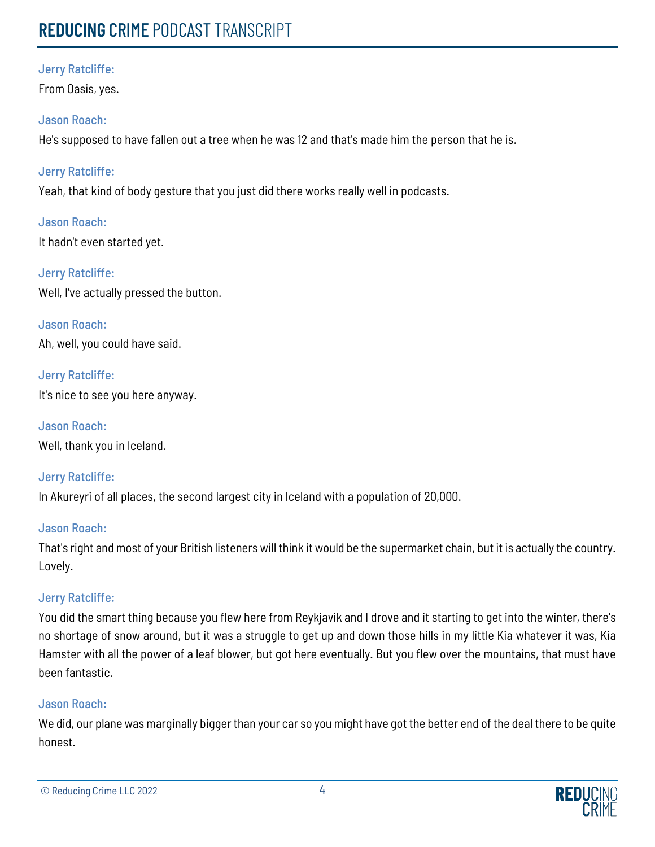# **REDUCING** CRIME PODCAST TRANSCRIPT

# Jerry Ratcliffe:

From Oasis, yes.

# Jason Roach:

He's supposed to have fallen out a tree when he was 12 and that's made him the person that he is.

# Jerry Ratcliffe:

Yeah, that kind of body gesture that you just did there works really well in podcasts.

Jason Roach: It hadn't even started yet.

Jerry Ratcliffe: Well, I've actually pressed the button.

Jason Roach: Ah, well, you could have said.

Jerry Ratcliffe: It's nice to see you here anyway.

Jason Roach: Well, thank you in Iceland.

Jerry Ratcliffe: In Akureyri of all places, the second largest city in Iceland with a population of 20,000.

# Jason Roach:

That's right and most of your British listeners will think it would be the supermarket chain, but it is actually the country. Lovely.

# Jerry Ratcliffe:

You did the smart thing because you flew here from Reykjavik and I drove and it starting to get into the winter, there's no shortage of snow around, but it was a struggle to get up and down those hills in my little Kia whatever it was, Kia Hamster with all the power of a leaf blower, but got here eventually. But you flew over the mountains, that must have been fantastic.

# Jason Roach:

We did, our plane was marginally bigger than your car so you might have got the better end of the deal there to be quite honest.

© Reducing Crime LLC 2022 4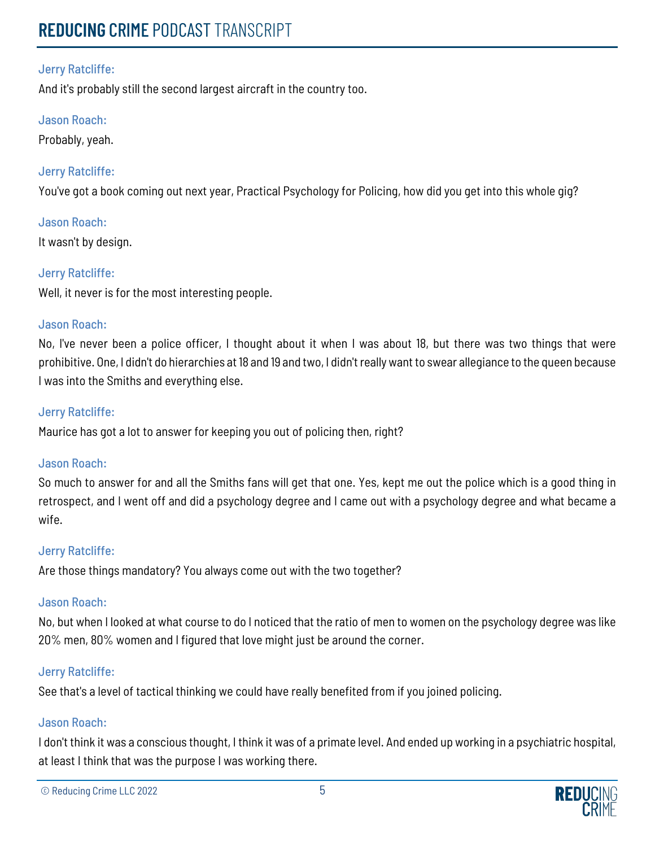And it's probably still the second largest aircraft in the country too.

# Jason Roach:

Probably, yeah.

# Jerry Ratcliffe:

You've got a book coming out next year, Practical Psychology for Policing, how did you get into this whole gig?

# Jason Roach:

It wasn't by design.

# Jerry Ratcliffe:

Well, it never is for the most interesting people.

# Jason Roach:

No, I've never been a police officer, I thought about it when I was about 18, but there was two things that were prohibitive. One, I didn't do hierarchies at 18 and 19 and two, I didn't really want to swear allegiance to the queen because I was into the Smiths and everything else.

# Jerry Ratcliffe:

Maurice has got a lot to answer for keeping you out of policing then, right?

# Jason Roach:

So much to answer for and all the Smiths fans will get that one. Yes, kept me out the police which is a good thing in retrospect, and I went off and did a psychology degree and I came out with a psychology degree and what became a wife.

# Jerry Ratcliffe:

Are those things mandatory? You always come out with the two together?

# Jason Roach:

No, but when I looked at what course to do I noticed that the ratio of men to women on the psychology degree was like 20% men, 80% women and I figured that love might just be around the corner.

# Jerry Ratcliffe:

See that's a level of tactical thinking we could have really benefited from if you joined policing.

# Jason Roach:

I don't think it was a conscious thought, I think it was of a primate level. And ended up working in a psychiatric hospital, at least I think that was the purpose I was working there.

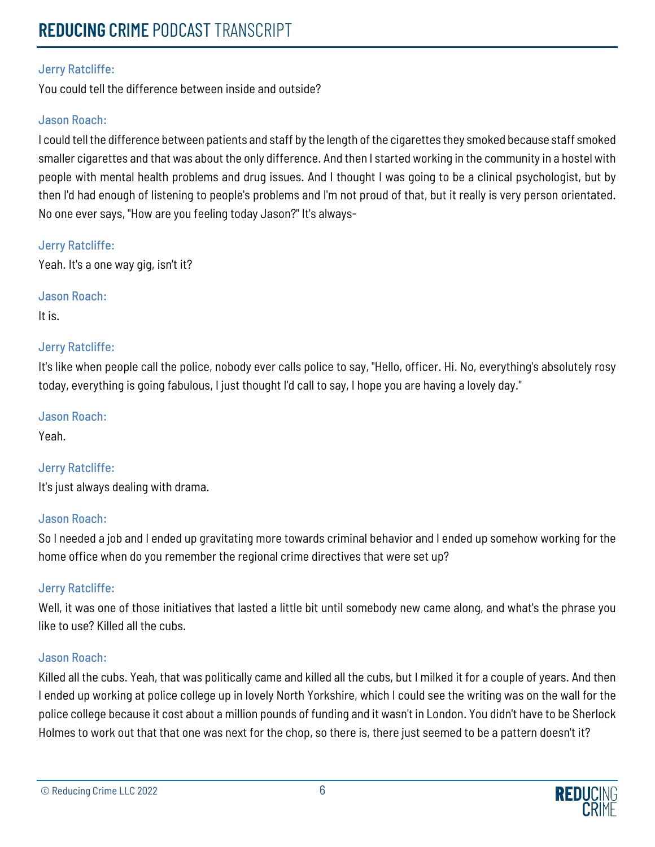You could tell the difference between inside and outside?

# Jason Roach:

I could tell the difference between patients and staff by the length of the cigarettes they smoked because staff smoked smaller cigarettes and that was about the only difference. And then I started working in the community in a hostel with people with mental health problems and drug issues. And I thought I was going to be a clinical psychologist, but by then I'd had enough of listening to people's problems and I'm not proud of that, but it really is very person orientated. No one ever says, "How are you feeling today Jason?" It's always-

# Jerry Ratcliffe:

Yeah. It's a one way gig, isn't it?

Jason Roach:

It is.

# Jerry Ratcliffe:

It's like when people call the police, nobody ever calls police to say, "Hello, officer. Hi. No, everything's absolutely rosy today, everything is going fabulous, I just thought I'd call to say, I hope you are having a lovely day."

# Jason Roach:

Yeah.

# Jerry Ratcliffe:

It's just always dealing with drama.

# Jason Roach:

So I needed a job and I ended up gravitating more towards criminal behavior and I ended up somehow working for the home office when do you remember the regional crime directives that were set up?

# Jerry Ratcliffe:

Well, it was one of those initiatives that lasted a little bit until somebody new came along, and what's the phrase you like to use? Killed all the cubs.

# Jason Roach:

Killed all the cubs. Yeah, that was politically came and killed all the cubs, but I milked it for a couple of years. And then I ended up working at police college up in lovely North Yorkshire, which I could see the writing was on the wall for the police college because it cost about a million pounds of funding and it wasn't in London. You didn't have to be Sherlock Holmes to work out that that one was next for the chop, so there is, there just seemed to be a pattern doesn't it?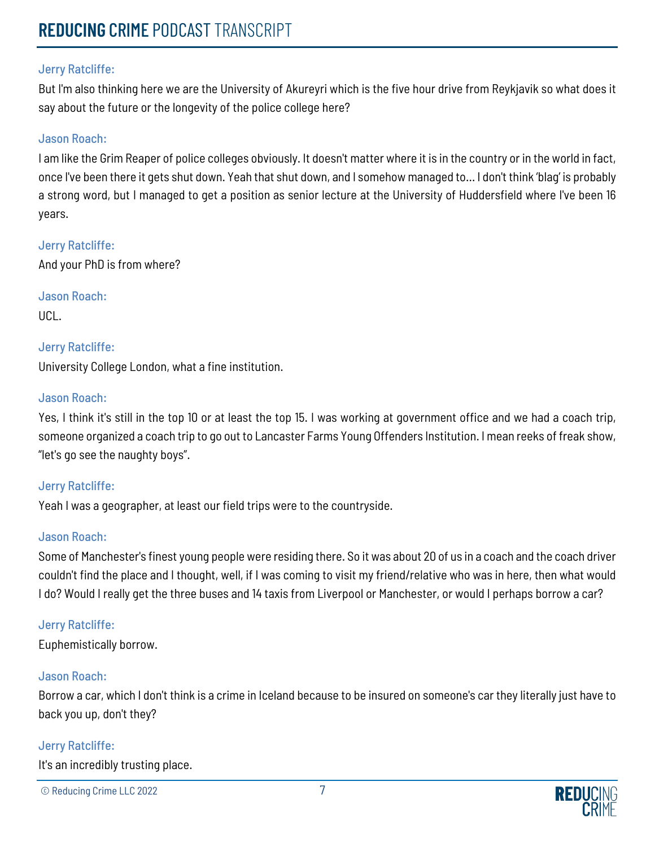But I'm also thinking here we are the University of Akureyri which is the five hour drive from Reykjavik so what does it say about the future or the longevity of the police college here?

## Jason Roach:

I am like the Grim Reaper of police colleges obviously. It doesn't matter where it is in the country or in the world in fact, once I've been there it gets shut down. Yeah that shut down, and I somehow managed to... I don't think 'blag' is probably a strong word, but I managed to get a position as senior lecture at the University of Huddersfield where I've been 16 years.

Jerry Ratcliffe: And your PhD is from where?

Jason Roach: UCL.

# Jerry Ratcliffe:

University College London, what a fine institution.

#### Jason Roach:

Yes, I think it's still in the top 10 or at least the top 15. I was working at government office and we had a coach trip, someone organized a coach trip to go out to Lancaster Farms Young Offenders Institution. I mean reeks of freak show, "let's go see the naughty boys".

#### Jerry Ratcliffe:

Yeah I was a geographer, at least our field trips were to the countryside.

#### Jason Roach:

Some of Manchester's finest young people were residing there. So it was about 20 of us in a coach and the coach driver couldn't find the place and I thought, well, if I was coming to visit my friend/relative who was in here, then what would I do? Would I really get the three buses and 14 taxis from Liverpool or Manchester, or would I perhaps borrow a car?

# Jerry Ratcliffe:

Euphemistically borrow.

# Jason Roach:

Borrow a car, which I don't think is a crime in Iceland because to be insured on someone's car they literally just have to back you up, don't they?

# Jerry Ratcliffe:

It's an incredibly trusting place.

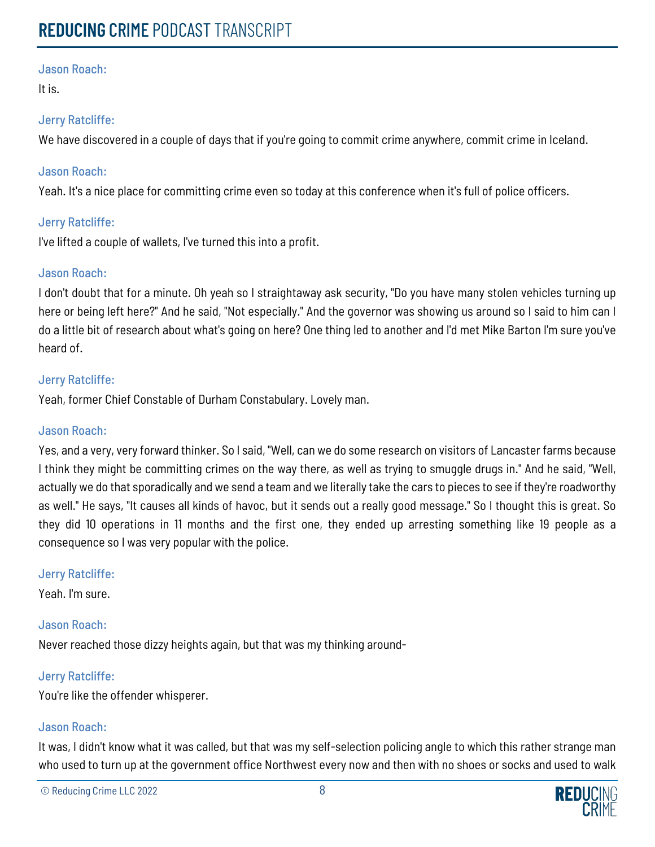It is.

# Jerry Ratcliffe:

We have discovered in a couple of days that if you're going to commit crime anywhere, commit crime in Iceland.

# Jason Roach:

Yeah. It's a nice place for committing crime even so today at this conference when it's full of police officers.

# Jerry Ratcliffe:

I've lifted a couple of wallets, I've turned this into a profit.

# Jason Roach:

I don't doubt that for a minute. Oh yeah so I straightaway ask security, "Do you have many stolen vehicles turning up here or being left here?" And he said, "Not especially." And the governor was showing us around so I said to him can I do a little bit of research about what's going on here? One thing led to another and I'd met Mike Barton I'm sure you've heard of.

# Jerry Ratcliffe:

Yeah, former Chief Constable of Durham Constabulary. Lovely man.

# Jason Roach:

Yes, and a very, very forward thinker. So I said, "Well, can we do some research on visitors of Lancaster farms because I think they might be committing crimes on the way there, as well as trying to smuggle drugs in." And he said, "Well, actually we do that sporadically and we send a team and we literally take the cars to pieces to see if they're roadworthy as well." He says, "It causes all kinds of havoc, but it sends out a really good message." So I thought this is great. So they did 10 operations in 11 months and the first one, they ended up arresting something like 19 people as a consequence so I was very popular with the police.

# Jerry Ratcliffe:

Yeah. I'm sure.

# Jason Roach:

Never reached those dizzy heights again, but that was my thinking around-

# Jerry Ratcliffe:

You're like the offender whisperer.

# Jason Roach:

It was, I didn't know what it was called, but that was my self-selection policing angle to which this rather strange man who used to turn up at the government office Northwest every now and then with no shoes or socks and used to walk

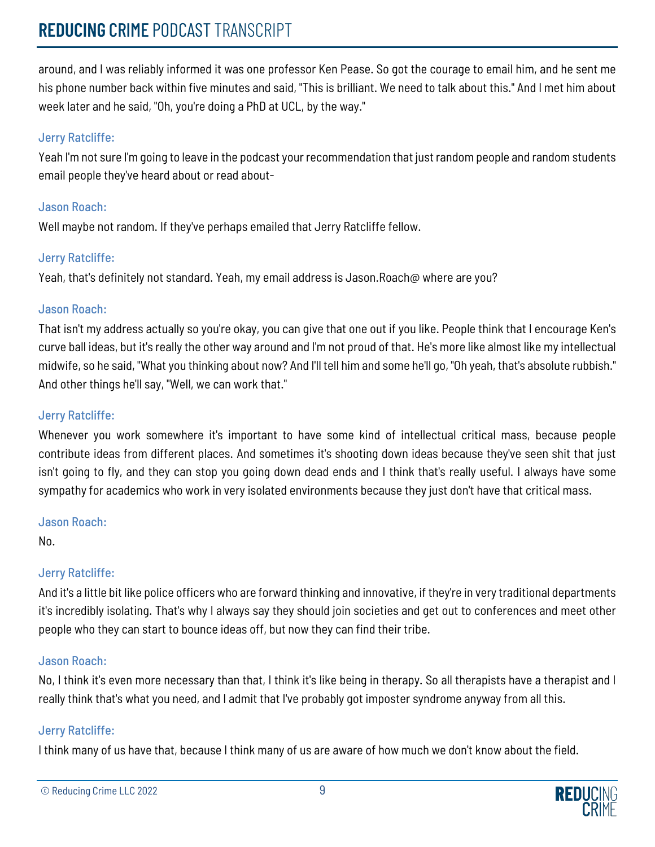# **REDUCING** CRIME PODCAST TRANSCRIPT

around, and I was reliably informed it was one professor Ken Pease. So got the courage to email him, and he sent me his phone number back within five minutes and said, "This is brilliant. We need to talk about this." And I met him about week later and he said, "Oh, you're doing a PhD at UCL, by the way."

# Jerry Ratcliffe:

Yeah I'm not sure I'm going to leave in the podcast your recommendation that just random people and random students email people they've heard about or read about-

# Jason Roach:

Well maybe not random. If they've perhaps emailed that Jerry Ratcliffe fellow.

# Jerry Ratcliffe:

Yeah, that's definitely not standard. Yeah, my email address is Jason.Roach@ where are you?

# Jason Roach:

That isn't my address actually so you're okay, you can give that one out if you like. People think that I encourage Ken's curve ball ideas, but it's really the other way around and I'm not proud of that. He's more like almost like my intellectual midwife, so he said, "What you thinking about now? And I'll tell him and some he'll go, "Oh yeah, that's absolute rubbish." And other things he'll say, "Well, we can work that."

# Jerry Ratcliffe:

Whenever you work somewhere it's important to have some kind of intellectual critical mass, because people contribute ideas from different places. And sometimes it's shooting down ideas because they've seen shit that just isn't going to fly, and they can stop you going down dead ends and I think that's really useful. I always have some sympathy for academics who work in very isolated environments because they just don't have that critical mass.

# Jason Roach:

No.

# Jerry Ratcliffe:

And it's a little bit like police officers who are forward thinking and innovative, if they're in very traditional departments it's incredibly isolating. That's why I always say they should join societies and get out to conferences and meet other people who they can start to bounce ideas off, but now they can find their tribe.

# Jason Roach:

No, I think it's even more necessary than that, I think it's like being in therapy. So all therapists have a therapist and I really think that's what you need, and I admit that I've probably got imposter syndrome anyway from all this.

# Jerry Ratcliffe:

I think many of us have that, because I think many of us are aware of how much we don't know about the field.

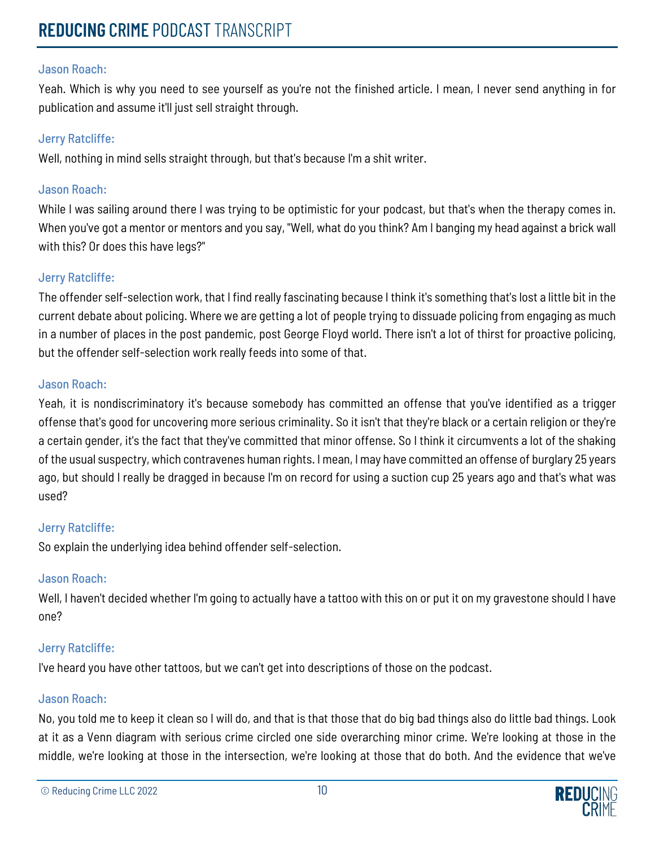Yeah. Which is why you need to see yourself as you're not the finished article. I mean, I never send anything in for publication and assume it'll just sell straight through.

# Jerry Ratcliffe:

Well, nothing in mind sells straight through, but that's because I'm a shit writer.

# Jason Roach:

While I was sailing around there I was trying to be optimistic for your podcast, but that's when the therapy comes in. When you've got a mentor or mentors and you say, "Well, what do you think? Am I banging my head against a brick wall with this? Or does this have legs?"

# Jerry Ratcliffe:

The offender self-selection work, that I find really fascinating because I think it's something that's lost a little bit in the current debate about policing. Where we are getting a lot of people trying to dissuade policing from engaging as much in a number of places in the post pandemic, post George Floyd world. There isn't a lot of thirst for proactive policing, but the offender self-selection work really feeds into some of that.

# Jason Roach:

Yeah, it is nondiscriminatory it's because somebody has committed an offense that you've identified as a trigger offense that's good for uncovering more serious criminality. So it isn't that they're black or a certain religion or they're a certain gender, it's the fact that they've committed that minor offense. So I think it circumvents a lot of the shaking of the usual suspectry, which contravenes human rights. I mean, I may have committed an offense of burglary 25 years ago, but should I really be dragged in because I'm on record for using a suction cup 25 years ago and that's what was used?

# Jerry Ratcliffe:

So explain the underlying idea behind offender self-selection.

# Jason Roach:

Well, I haven't decided whether I'm going to actually have a tattoo with this on or put it on my gravestone should I have one?

# Jerry Ratcliffe:

I've heard you have other tattoos, but we can't get into descriptions of those on the podcast.

# Jason Roach:

No, you told me to keep it clean so I will do, and that is that those that do big bad things also do little bad things. Look at it as a Venn diagram with serious crime circled one side overarching minor crime. We're looking at those in the middle, we're looking at those in the intersection, we're looking at those that do both. And the evidence that we've

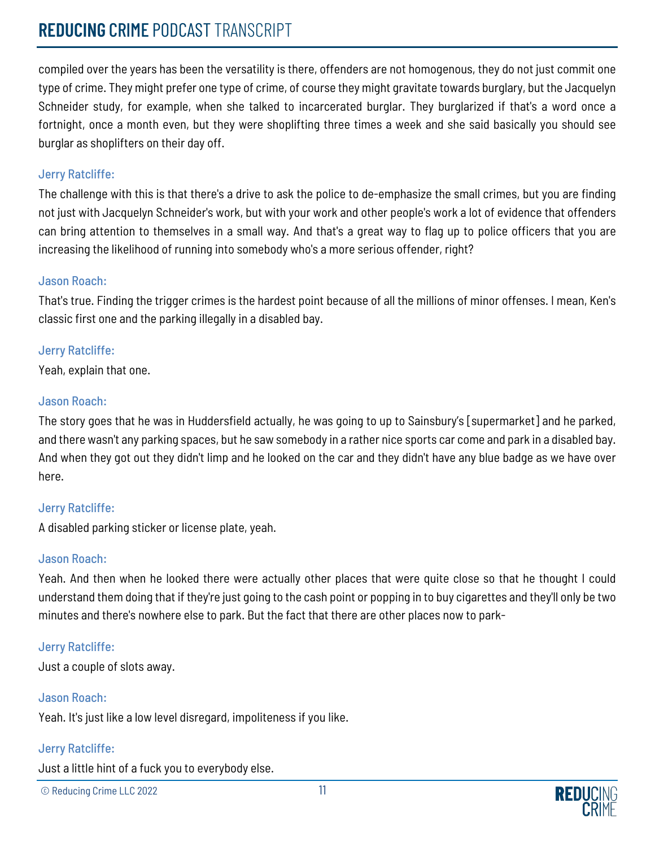# **REDUCING** CRIME PODCAST TRANSCRIPT

compiled over the years has been the versatility is there, offenders are not homogenous, they do not just commit one type of crime. They might prefer one type of crime, of course they might gravitate towards burglary, but the Jacquelyn Schneider study, for example, when she talked to incarcerated burglar. They burglarized if that's a word once a fortnight, once a month even, but they were shoplifting three times a week and she said basically you should see burglar as shoplifters on their day off.

# Jerry Ratcliffe:

The challenge with this is that there's a drive to ask the police to de-emphasize the small crimes, but you are finding not just with Jacquelyn Schneider's work, but with your work and other people's work a lot of evidence that offenders can bring attention to themselves in a small way. And that's a great way to flag up to police officers that you are increasing the likelihood of running into somebody who's a more serious offender, right?

# Jason Roach:

That's true. Finding the trigger crimes is the hardest point because of all the millions of minor offenses. I mean, Ken's classic first one and the parking illegally in a disabled bay.

# Jerry Ratcliffe:

Yeah, explain that one.

# Jason Roach:

The story goes that he was in Huddersfield actually, he was going to up to Sainsbury's [supermarket] and he parked, and there wasn't any parking spaces, but he saw somebody in a rather nice sports car come and park in a disabled bay. And when they got out they didn't limp and he looked on the car and they didn't have any blue badge as we have over here.

# Jerry Ratcliffe:

A disabled parking sticker or license plate, yeah.

# Jason Roach:

Yeah. And then when he looked there were actually other places that were quite close so that he thought I could understand them doing that if they're just going to the cash point or popping in to buy cigarettes and they'll only be two minutes and there's nowhere else to park. But the fact that there are other places now to park-

# Jerry Ratcliffe:

Just a couple of slots away.

# Jason Roach:

Yeah. It's just like a low level disregard, impoliteness if you like.

# Jerry Ratcliffe:

Just a little hint of a fuck you to everybody else.

© Reducing Crime LLC 2022 11

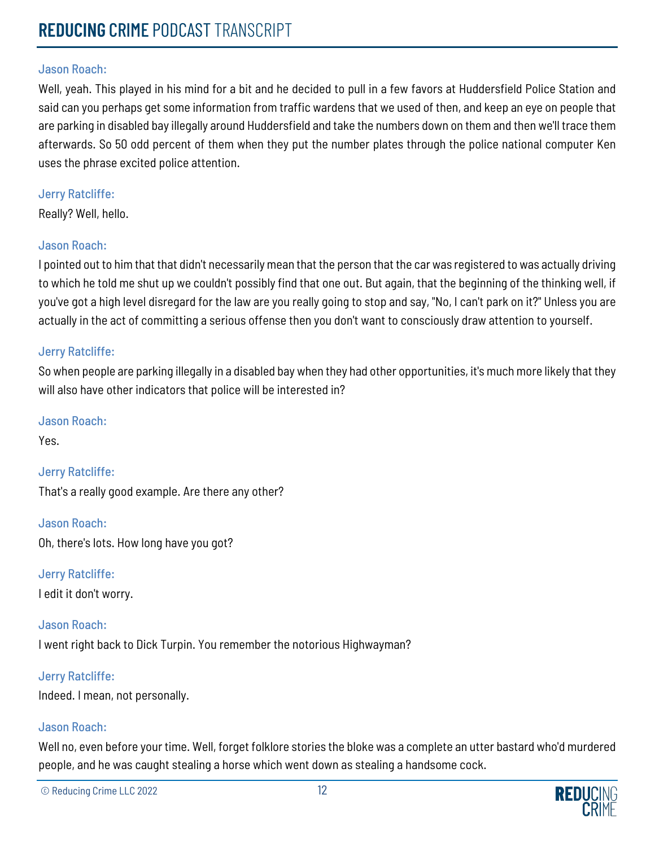Well, yeah. This played in his mind for a bit and he decided to pull in a few favors at Huddersfield Police Station and said can you perhaps get some information from traffic wardens that we used of then, and keep an eye on people that are parking in disabled bay illegally around Huddersfield and take the numbers down on them and then we'll trace them afterwards. So 50 odd percent of them when they put the number plates through the police national computer Ken uses the phrase excited police attention.

# Jerry Ratcliffe:

Really? Well, hello.

# Jason Roach:

I pointed out to him that that didn't necessarily mean that the person that the car was registered to was actually driving to which he told me shut up we couldn't possibly find that one out. But again, that the beginning of the thinking well, if you've got a high level disregard for the law are you really going to stop and say, "No, I can't park on it?" Unless you are actually in the act of committing a serious offense then you don't want to consciously draw attention to yourself.

# Jerry Ratcliffe:

So when people are parking illegally in a disabled bay when they had other opportunities, it's much more likely that they will also have other indicators that police will be interested in?

# Jason Roach:

Yes.

Jerry Ratcliffe:

That's a really good example. Are there any other?

Jason Roach: Oh, there's lots. How long have you got?

Jerry Ratcliffe: I edit it don't worry.

Jason Roach:

I went right back to Dick Turpin. You remember the notorious Highwayman?

Jerry Ratcliffe:

Indeed. I mean, not personally.

# Jason Roach:

Well no, even before your time. Well, forget folklore stories the bloke was a complete an utter bastard who'd murdered people, and he was caught stealing a horse which went down as stealing a handsome cock.

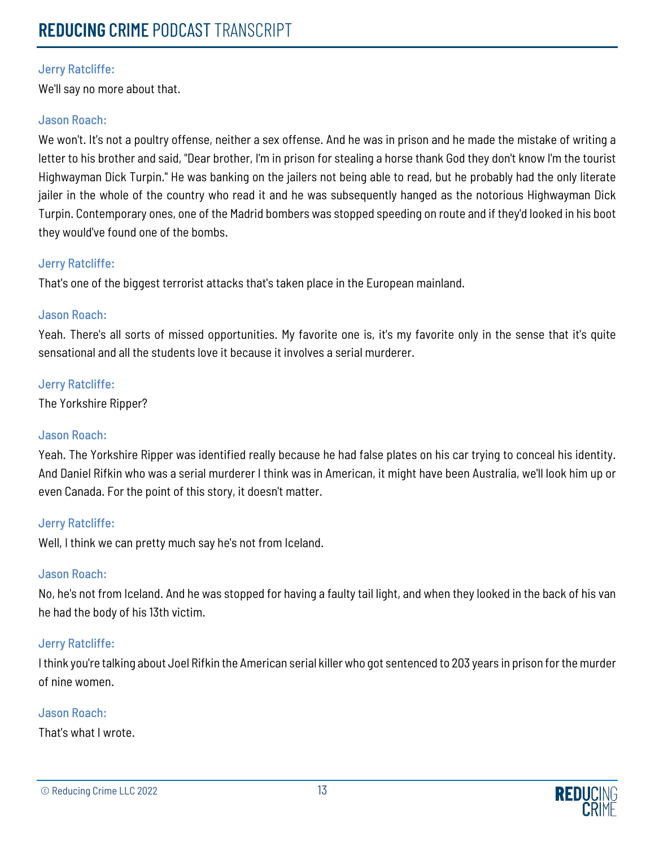We'll say no more about that.

## Jason Roach:

We won't. It's not a poultry offense, neither a sex offense. And he was in prison and he made the mistake of writing a letter to his brother and said, "Dear brother, I'm in prison for stealing a horse thank God they don't know I'm the tourist Highwayman Dick Turpin." He was banking on the jailers not being able to read, but he probably had the only literate jailer in the whole of the country who read it and he was subsequently hanged as the notorious Highwayman Dick Turpin. Contemporary ones, one of the Madrid bombers was stopped speeding on route and if they'd looked in his boot they would've found one of the bombs.

# Jerry Ratcliffe:

That's one of the biggest terrorist attacks that's taken place in the European mainland.

# Jason Roach:

Yeah. There's all sorts of missed opportunities. My favorite one is, it's my favorite only in the sense that it's quite sensational and all the students love it because it involves a serial murderer.

# Jerry Ratcliffe:

The Yorkshire Ripper?

# Jason Roach:

Yeah. The Yorkshire Ripper was identified really because he had false plates on his car trying to conceal his identity. And Daniel Rifkin who was a serial murderer I think was in American, it might have been Australia, we'll look him up or even Canada. For the point of this story, it doesn't matter.

# Jerry Ratcliffe:

Well, I think we can pretty much say he's not from Iceland.

# Jason Roach:

No, he's not from Iceland. And he was stopped for having a faulty tail light, and when they looked in the back of his van he had the body of his 13th victim.

# Jerry Ratcliffe:

I think you're talking about Joel Rifkin the American serial killer who got sentenced to 203 years in prison for the murder of nine women.

# Jason Roach:

That's what I wrote.

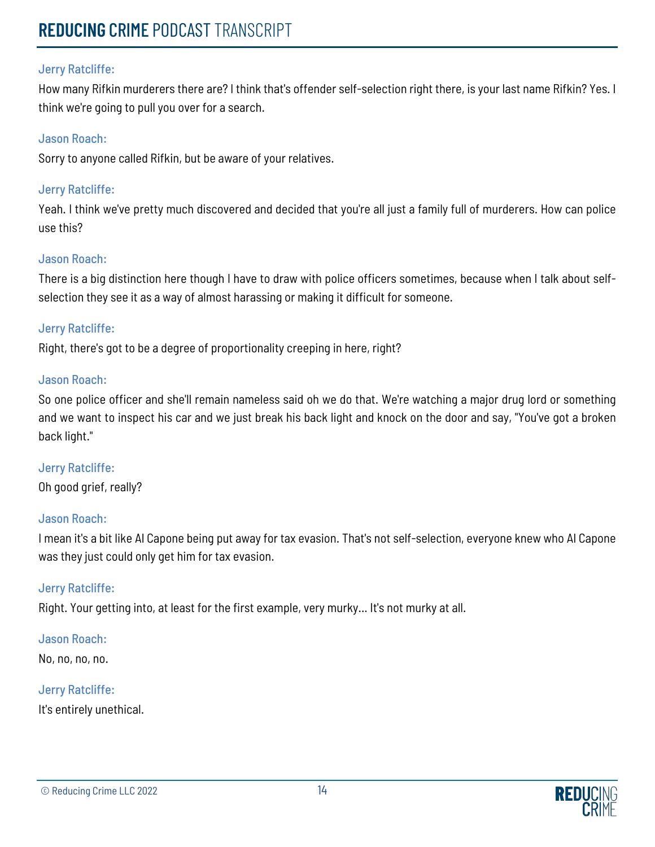How many Rifkin murderers there are? I think that's offender self-selection right there, is your last name Rifkin? Yes. I think we're going to pull you over for a search.

## Jason Roach:

Sorry to anyone called Rifkin, but be aware of your relatives.

## Jerry Ratcliffe:

Yeah. I think we've pretty much discovered and decided that you're all just a family full of murderers. How can police use this?

# Jason Roach:

There is a big distinction here though I have to draw with police officers sometimes, because when I talk about selfselection they see it as a way of almost harassing or making it difficult for someone.

#### Jerry Ratcliffe:

Right, there's got to be a degree of proportionality creeping in here, right?

#### Jason Roach:

So one police officer and she'll remain nameless said oh we do that. We're watching a major drug lord or something and we want to inspect his car and we just break his back light and knock on the door and say, "You've got a broken back light."

Jerry Ratcliffe: Oh good grief, really?

# Jason Roach:

I mean it's a bit like Al Capone being put away for tax evasion. That's not self-selection, everyone knew who Al Capone was they just could only get him for tax evasion.

#### Jerry Ratcliffe:

Right. Your getting into, at least for the first example, very murky... It's not murky at all.

#### Jason Roach:

No, no, no, no.

#### Jerry Ratcliffe:

It's entirely unethical.

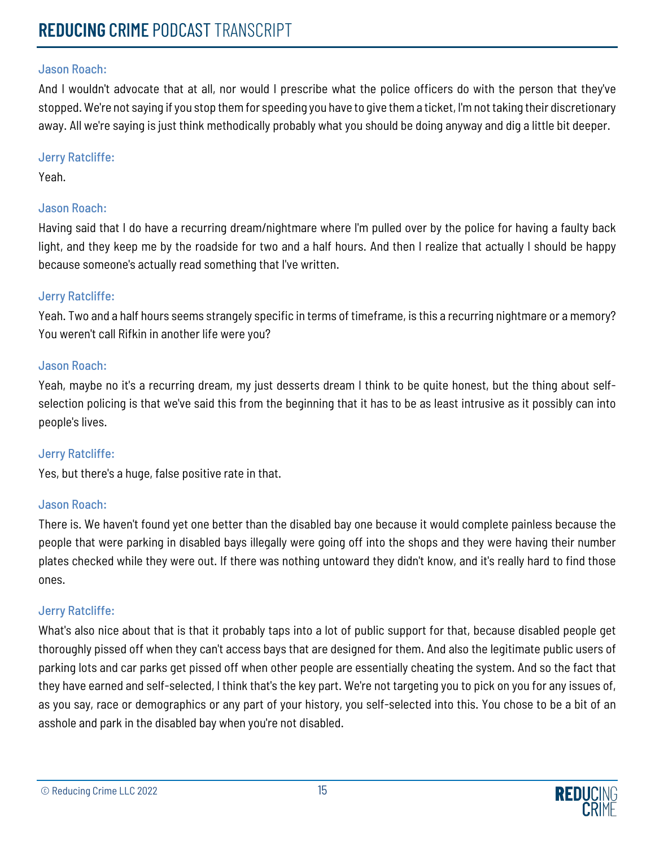And I wouldn't advocate that at all, nor would I prescribe what the police officers do with the person that they've stopped. We're not saying if you stop them for speeding you have to give them a ticket, I'm not taking their discretionary away. All we're saying is just think methodically probably what you should be doing anyway and dig a little bit deeper.

#### Jerry Ratcliffe:

Yeah.

# Jason Roach:

Having said that I do have a recurring dream/nightmare where I'm pulled over by the police for having a faulty back light, and they keep me by the roadside for two and a half hours. And then I realize that actually I should be happy because someone's actually read something that I've written.

# Jerry Ratcliffe:

Yeah. Two and a half hours seems strangely specific in terms of timeframe, is this a recurring nightmare or a memory? You weren't call Rifkin in another life were you?

# Jason Roach:

Yeah, maybe no it's a recurring dream, my just desserts dream I think to be quite honest, but the thing about selfselection policing is that we've said this from the beginning that it has to be as least intrusive as it possibly can into people's lives.

# Jerry Ratcliffe:

Yes, but there's a huge, false positive rate in that.

# Jason Roach:

There is. We haven't found yet one better than the disabled bay one because it would complete painless because the people that were parking in disabled bays illegally were going off into the shops and they were having their number plates checked while they were out. If there was nothing untoward they didn't know, and it's really hard to find those ones.

# Jerry Ratcliffe:

What's also nice about that is that it probably taps into a lot of public support for that, because disabled people get thoroughly pissed off when they can't access bays that are designed for them. And also the legitimate public users of parking lots and car parks get pissed off when other people are essentially cheating the system. And so the fact that they have earned and self-selected, I think that's the key part. We're not targeting you to pick on you for any issues of, as you say, race or demographics or any part of your history, you self-selected into this. You chose to be a bit of an asshole and park in the disabled bay when you're not disabled.

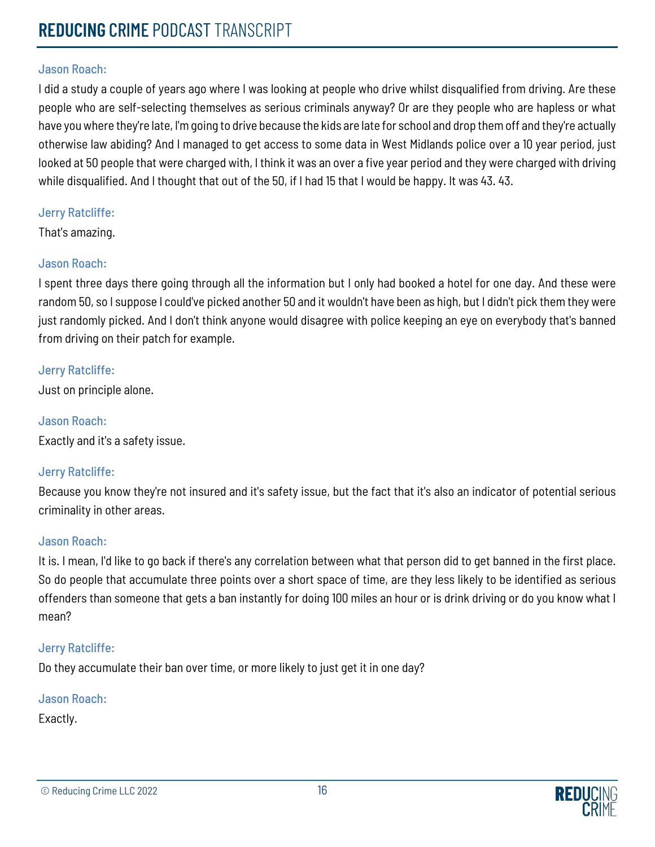I did a study a couple of years ago where I was looking at people who drive whilst disqualified from driving. Are these people who are self-selecting themselves as serious criminals anyway? Or are they people who are hapless or what have you where they're late, I'm going to drive because the kids are late for school and drop them off and they're actually otherwise law abiding? And I managed to get access to some data in West Midlands police over a 10 year period, just looked at 50 people that were charged with, I think it was an over a five year period and they were charged with driving while disqualified. And I thought that out of the 50, if I had 15 that I would be happy. It was 43. 43.

#### Jerry Ratcliffe:

That's amazing.

# Jason Roach:

I spent three days there going through all the information but I only had booked a hotel for one day. And these were random 50, so I suppose I could've picked another 50 and it wouldn't have been as high, but I didn't pick them they were just randomly picked. And I don't think anyone would disagree with police keeping an eye on everybody that's banned from driving on their patch for example.

#### Jerry Ratcliffe:

Just on principle alone.

Jason Roach: Exactly and it's a safety issue.

# Jerry Ratcliffe:

Because you know they're not insured and it's safety issue, but the fact that it's also an indicator of potential serious criminality in other areas.

#### Jason Roach:

It is. I mean, I'd like to go back if there's any correlation between what that person did to get banned in the first place. So do people that accumulate three points over a short space of time, are they less likely to be identified as serious offenders than someone that gets a ban instantly for doing 100 miles an hour or is drink driving or do you know what I mean?

# Jerry Ratcliffe:

Do they accumulate their ban over time, or more likely to just get it in one day?

# Jason Roach:

Exactly.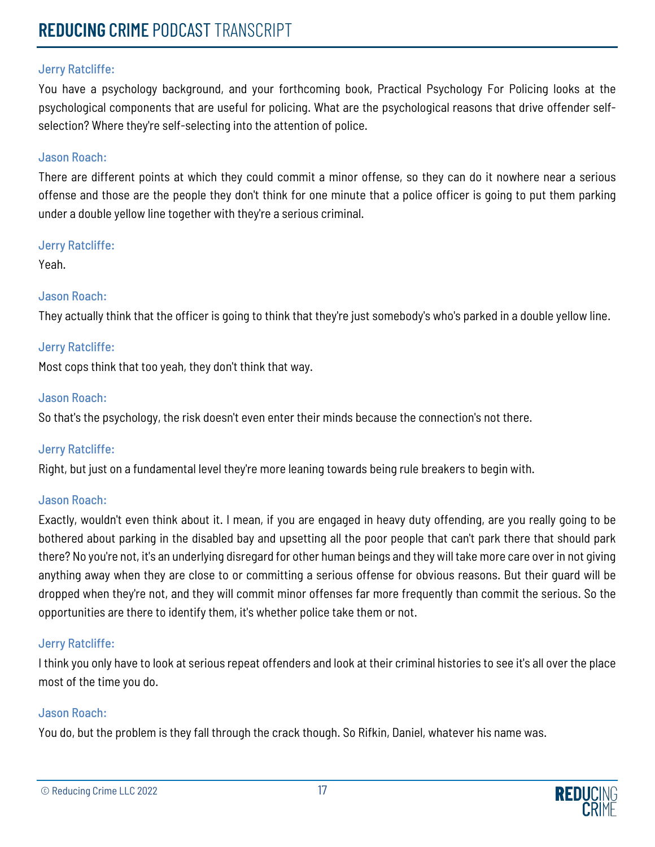You have a psychology background, and your forthcoming book, Practical Psychology For Policing looks at the psychological components that are useful for policing. What are the psychological reasons that drive offender selfselection? Where they're self-selecting into the attention of police.

# Jason Roach:

There are different points at which they could commit a minor offense, so they can do it nowhere near a serious offense and those are the people they don't think for one minute that a police officer is going to put them parking under a double yellow line together with they're a serious criminal.

#### Jerry Ratcliffe:

Yeah.

# Jason Roach:

They actually think that the officer is going to think that they're just somebody's who's parked in a double yellow line.

# Jerry Ratcliffe:

Most cops think that too yeah, they don't think that way.

#### Jason Roach:

So that's the psychology, the risk doesn't even enter their minds because the connection's not there.

# Jerry Ratcliffe:

Right, but just on a fundamental level they're more leaning towards being rule breakers to begin with.

# Jason Roach:

Exactly, wouldn't even think about it. I mean, if you are engaged in heavy duty offending, are you really going to be bothered about parking in the disabled bay and upsetting all the poor people that can't park there that should park there? No you're not, it's an underlying disregard for other human beings and they will take more care over in not giving anything away when they are close to or committing a serious offense for obvious reasons. But their guard will be dropped when they're not, and they will commit minor offenses far more frequently than commit the serious. So the opportunities are there to identify them, it's whether police take them or not.

# Jerry Ratcliffe:

I think you only have to look at serious repeat offenders and look at their criminal histories to see it's all over the place most of the time you do.

#### Jason Roach:

You do, but the problem is they fall through the crack though. So Rifkin, Daniel, whatever his name was.

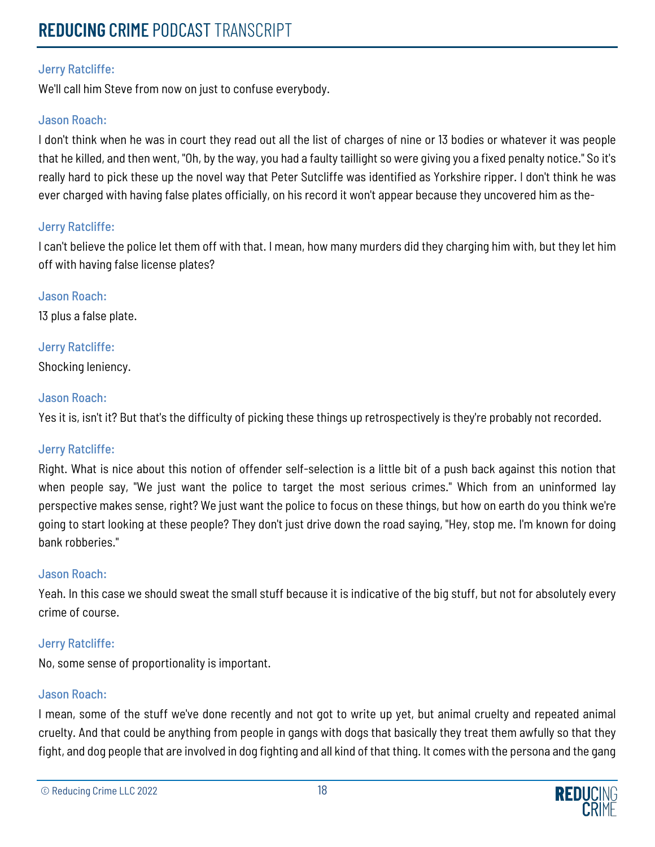# **REDUCING** CRIME PODCAST TRANSCRIPT

# Jerry Ratcliffe:

We'll call him Steve from now on just to confuse everybody.

## Jason Roach:

I don't think when he was in court they read out all the list of charges of nine or 13 bodies or whatever it was people that he killed, and then went, "Oh, by the way, you had a faulty taillight so were giving you a fixed penalty notice." So it's really hard to pick these up the novel way that Peter Sutcliffe was identified as Yorkshire ripper. I don't think he was ever charged with having false plates officially, on his record it won't appear because they uncovered him as the-

#### Jerry Ratcliffe:

I can't believe the police let them off with that. I mean, how many murders did they charging him with, but they let him off with having false license plates?

# Jason Roach:

13 plus a false plate.

# Jerry Ratcliffe:

Shocking leniency.

# Jason Roach:

Yes it is, isn't it? But that's the difficulty of picking these things up retrospectively is they're probably not recorded.

# Jerry Ratcliffe:

Right. What is nice about this notion of offender self-selection is a little bit of a push back against this notion that when people say, "We just want the police to target the most serious crimes." Which from an uninformed lay perspective makes sense, right? We just want the police to focus on these things, but how on earth do you think we're going to start looking at these people? They don't just drive down the road saying, "Hey, stop me. I'm known for doing bank robberies."

# Jason Roach:

Yeah. In this case we should sweat the small stuff because it is indicative of the big stuff, but not for absolutely every crime of course.

# Jerry Ratcliffe:

No, some sense of proportionality is important.

# Jason Roach:

I mean, some of the stuff we've done recently and not got to write up yet, but animal cruelty and repeated animal cruelty. And that could be anything from people in gangs with dogs that basically they treat them awfully so that they fight, and dog people that are involved in dog fighting and all kind of that thing. It comes with the persona and the gang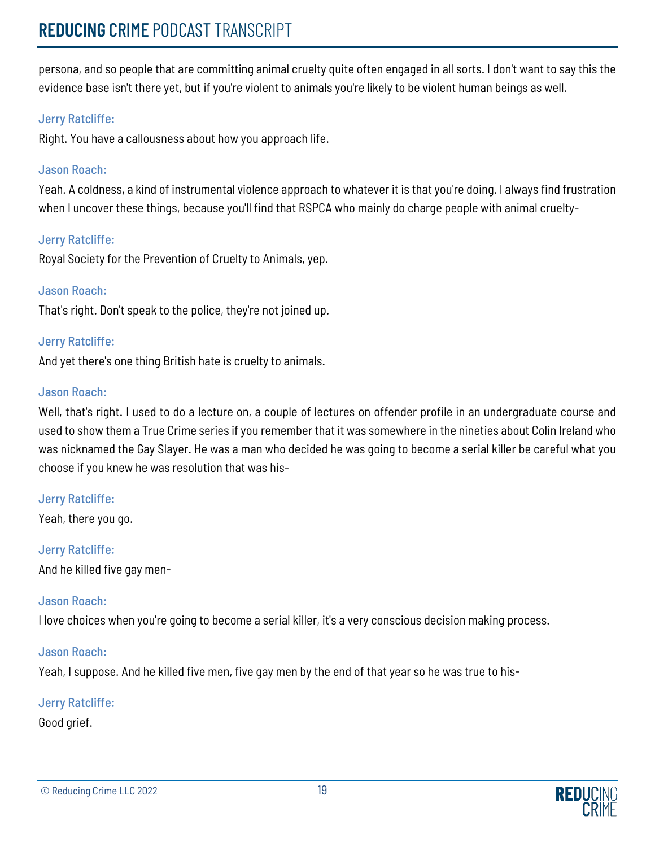persona, and so people that are committing animal cruelty quite often engaged in all sorts. I don't want to say this the evidence base isn't there yet, but if you're violent to animals you're likely to be violent human beings as well.

# Jerry Ratcliffe:

Right. You have a callousness about how you approach life.

# Jason Roach:

Yeah. A coldness, a kind of instrumental violence approach to whatever it is that you're doing. I always find frustration when I uncover these things, because you'll find that RSPCA who mainly do charge people with animal cruelty-

# Jerry Ratcliffe:

Royal Society for the Prevention of Cruelty to Animals, yep.

# Jason Roach:

That's right. Don't speak to the police, they're not joined up.

# Jerry Ratcliffe:

And yet there's one thing British hate is cruelty to animals.

# Jason Roach:

Well, that's right. I used to do a lecture on, a couple of lectures on offender profile in an undergraduate course and used to show them a True Crime series if you remember that it was somewhere in the nineties about Colin Ireland who was nicknamed the Gay Slayer. He was a man who decided he was going to become a serial killer be careful what you choose if you knew he was resolution that was his-

# Jerry Ratcliffe:

Yeah, there you go.

# Jerry Ratcliffe:

And he killed five gay men-

# Jason Roach:

I love choices when you're going to become a serial killer, it's a very conscious decision making process.

# Jason Roach:

Yeah, I suppose. And he killed five men, five gay men by the end of that year so he was true to his-

# Jerry Ratcliffe:

Good grief.

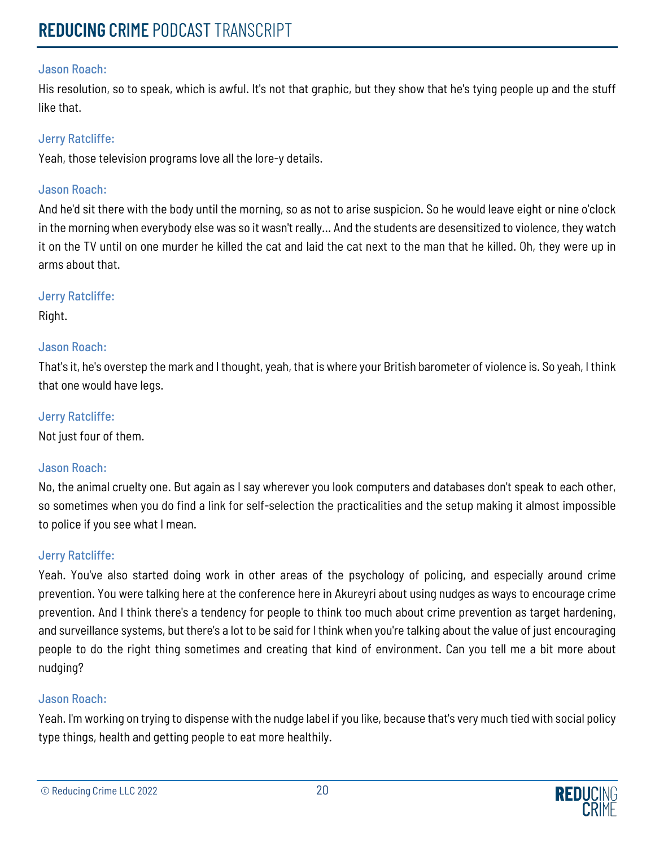His resolution, so to speak, which is awful. It's not that graphic, but they show that he's tying people up and the stuff like that.

# Jerry Ratcliffe:

Yeah, those television programs love all the lore-y details.

# Jason Roach:

And he'd sit there with the body until the morning, so as not to arise suspicion. So he would leave eight or nine o'clock in the morning when everybody else was so it wasn't really... And the students are desensitized to violence, they watch it on the TV until on one murder he killed the cat and laid the cat next to the man that he killed. Oh, they were up in arms about that.

# Jerry Ratcliffe:

Right.

# Jason Roach:

That's it, he's overstep the mark and I thought, yeah, that is where your British barometer of violence is. So yeah, I think that one would have legs.

# Jerry Ratcliffe:

Not just four of them.

# Jason Roach:

No, the animal cruelty one. But again as I say wherever you look computers and databases don't speak to each other, so sometimes when you do find a link for self-selection the practicalities and the setup making it almost impossible to police if you see what I mean.

# Jerry Ratcliffe:

Yeah. You've also started doing work in other areas of the psychology of policing, and especially around crime prevention. You were talking here at the conference here in Akureyri about using nudges as ways to encourage crime prevention. And I think there's a tendency for people to think too much about crime prevention as target hardening, and surveillance systems, but there's a lot to be said for I think when you're talking about the value of just encouraging people to do the right thing sometimes and creating that kind of environment. Can you tell me a bit more about nudging?

# Jason Roach:

Yeah. I'm working on trying to dispense with the nudge label if you like, because that's very much tied with social policy type things, health and getting people to eat more healthily.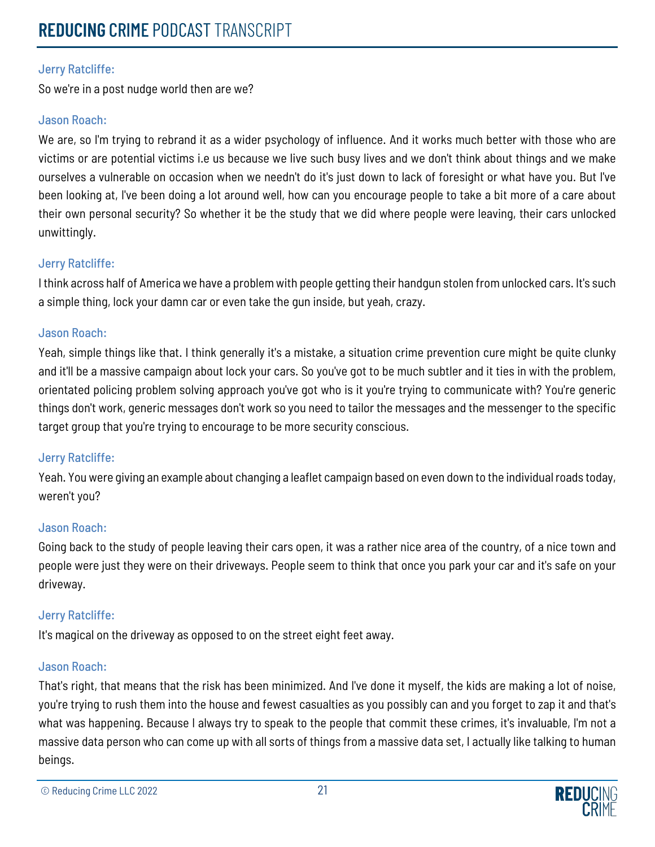So we're in a post nudge world then are we?

# Jason Roach:

We are, so I'm trying to rebrand it as a wider psychology of influence. And it works much better with those who are victims or are potential victims i.e us because we live such busy lives and we don't think about things and we make ourselves a vulnerable on occasion when we needn't do it's just down to lack of foresight or what have you. But I've been looking at, I've been doing a lot around well, how can you encourage people to take a bit more of a care about their own personal security? So whether it be the study that we did where people were leaving, their cars unlocked unwittingly.

# Jerry Ratcliffe:

I think across half of America we have a problem with people getting their handgun stolen from unlocked cars. It's such a simple thing, lock your damn car or even take the gun inside, but yeah, crazy.

# Jason Roach:

Yeah, simple things like that. I think generally it's a mistake, a situation crime prevention cure might be quite clunky and it'll be a massive campaign about lock your cars. So you've got to be much subtler and it ties in with the problem, orientated policing problem solving approach you've got who is it you're trying to communicate with? You're generic things don't work, generic messages don't work so you need to tailor the messages and the messenger to the specific target group that you're trying to encourage to be more security conscious.

# Jerry Ratcliffe:

Yeah. You were giving an example about changing a leaflet campaign based on even down to the individual roads today, weren't you?

# Jason Roach:

Going back to the study of people leaving their cars open, it was a rather nice area of the country, of a nice town and people were just they were on their driveways. People seem to think that once you park your car and it's safe on your driveway.

# Jerry Ratcliffe:

It's magical on the driveway as opposed to on the street eight feet away.

# Jason Roach:

That's right, that means that the risk has been minimized. And I've done it myself, the kids are making a lot of noise, you're trying to rush them into the house and fewest casualties as you possibly can and you forget to zap it and that's what was happening. Because I always try to speak to the people that commit these crimes, it's invaluable, I'm not a massive data person who can come up with all sorts of things from a massive data set, I actually like talking to human beings.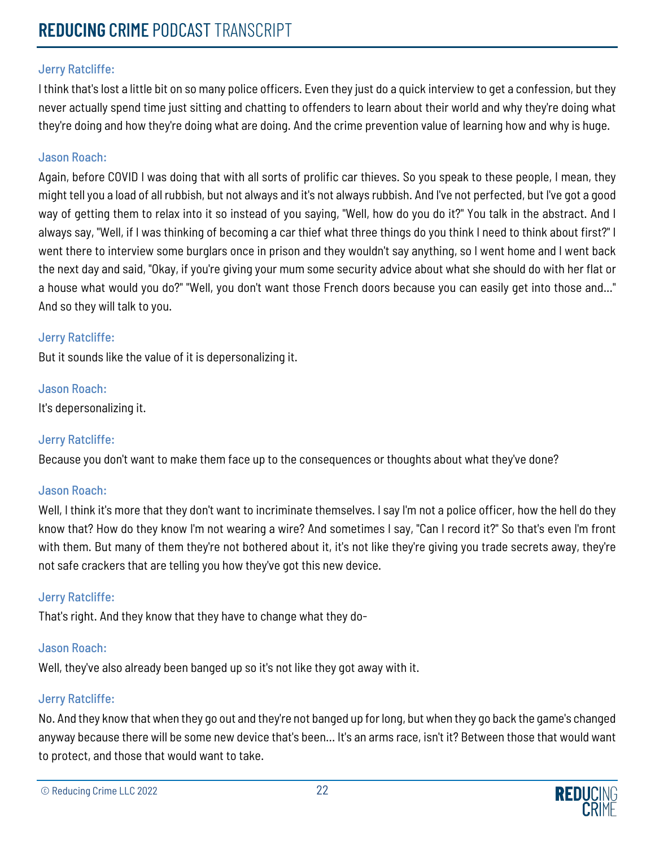I think that's lost a little bit on so many police officers. Even they just do a quick interview to get a confession, but they never actually spend time just sitting and chatting to offenders to learn about their world and why they're doing what they're doing and how they're doing what are doing. And the crime prevention value of learning how and why is huge.

# Jason Roach:

Again, before COVID I was doing that with all sorts of prolific car thieves. So you speak to these people, I mean, they might tell you a load of all rubbish, but not always and it's not always rubbish. And I've not perfected, but I've got a good way of getting them to relax into it so instead of you saying, "Well, how do you do it?" You talk in the abstract. And I always say, "Well, if I was thinking of becoming a car thief what three things do you think I need to think about first?" I went there to interview some burglars once in prison and they wouldn't say anything, so I went home and I went back the next day and said, "Okay, if you're giving your mum some security advice about what she should do with her flat or a house what would you do?" "Well, you don't want those French doors because you can easily get into those and..." And so they will talk to you.

# Jerry Ratcliffe:

But it sounds like the value of it is depersonalizing it.

# Jason Roach:

It's depersonalizing it.

# Jerry Ratcliffe:

Because you don't want to make them face up to the consequences or thoughts about what they've done?

# Jason Roach:

Well, I think it's more that they don't want to incriminate themselves. I say I'm not a police officer, how the hell do they know that? How do they know I'm not wearing a wire? And sometimes I say, "Can I record it?" So that's even I'm front with them. But many of them they're not bothered about it, it's not like they're giving you trade secrets away, they're not safe crackers that are telling you how they've got this new device.

# Jerry Ratcliffe:

That's right. And they know that they have to change what they do-

# Jason Roach:

Well, they've also already been banged up so it's not like they got away with it.

# Jerry Ratcliffe:

No. And they know that when they go out and they're not banged up for long, but when they go back the game's changed anyway because there will be some new device that's been... It's an arms race, isn't it? Between those that would want to protect, and those that would want to take.

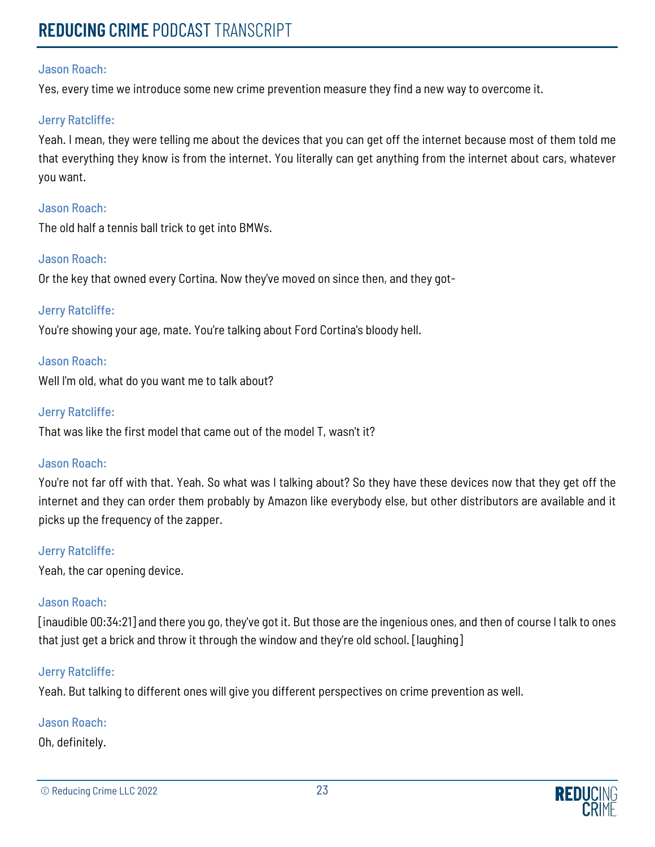Yes, every time we introduce some new crime prevention measure they find a new way to overcome it.

#### Jerry Ratcliffe:

Yeah. I mean, they were telling me about the devices that you can get off the internet because most of them told me that everything they know is from the internet. You literally can get anything from the internet about cars, whatever you want.

#### Jason Roach:

The old half a tennis ball trick to get into BMWs.

#### Jason Roach:

Or the key that owned every Cortina. Now they've moved on since then, and they got-

#### Jerry Ratcliffe:

You're showing your age, mate. You're talking about Ford Cortina's bloody hell.

#### Jason Roach:

Well I'm old, what do you want me to talk about?

#### Jerry Ratcliffe:

That was like the first model that came out of the model T, wasn't it?

#### Jason Roach:

You're not far off with that. Yeah. So what was I talking about? So they have these devices now that they get off the internet and they can order them probably by Amazon like everybody else, but other distributors are available and it picks up the frequency of the zapper.

#### Jerry Ratcliffe:

Yeah, the car opening device.

# Jason Roach:

[inaudible 00:34:21] and there you go, they've got it. But those are the ingenious ones, and then of course I talk to ones that just get a brick and throw it through the window and they're old school. [laughing]

#### Jerry Ratcliffe:

Yeah. But talking to different ones will give you different perspectives on crime prevention as well.

#### Jason Roach:

Oh, definitely.

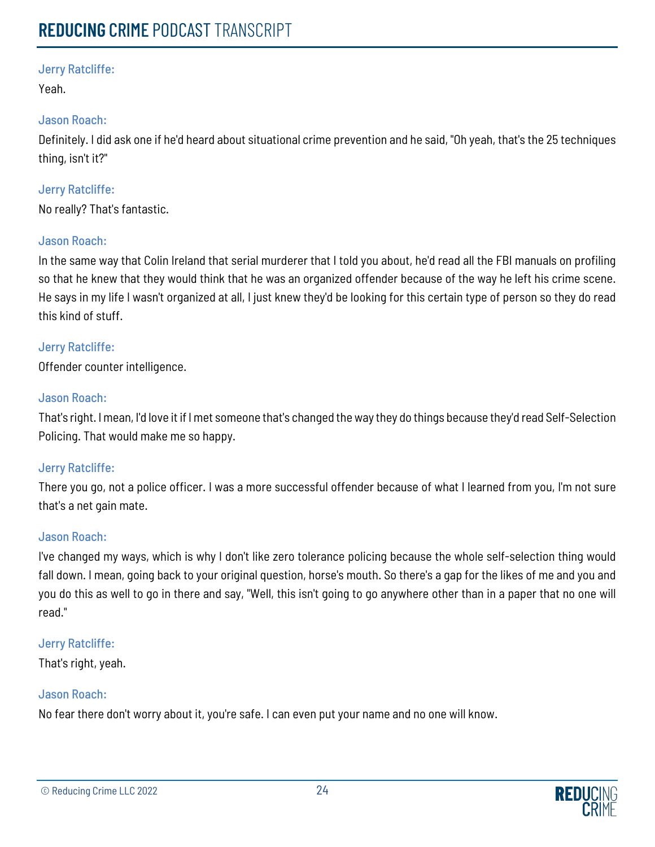Yeah.

# Jason Roach:

Definitely. I did ask one if he'd heard about situational crime prevention and he said, "Oh yeah, that's the 25 techniques thing, isn't it?"

# Jerry Ratcliffe:

No really? That's fantastic.

# Jason Roach:

In the same way that Colin Ireland that serial murderer that I told you about, he'd read all the FBI manuals on profiling so that he knew that they would think that he was an organized offender because of the way he left his crime scene. He says in my life I wasn't organized at all, I just knew they'd be looking for this certain type of person so they do read this kind of stuff.

# Jerry Ratcliffe:

Offender counter intelligence.

# Jason Roach:

That's right. I mean, I'd love it if I met someone that's changed the way they do things because they'd read Self-Selection Policing. That would make me so happy.

# Jerry Ratcliffe:

There you go, not a police officer. I was a more successful offender because of what I learned from you, I'm not sure that's a net gain mate.

# Jason Roach:

I've changed my ways, which is why I don't like zero tolerance policing because the whole self-selection thing would fall down. I mean, going back to your original question, horse's mouth. So there's a gap for the likes of me and you and you do this as well to go in there and say, "Well, this isn't going to go anywhere other than in a paper that no one will read."

# Jerry Ratcliffe:

That's right, yeah.

# Jason Roach:

No fear there don't worry about it, you're safe. I can even put your name and no one will know.

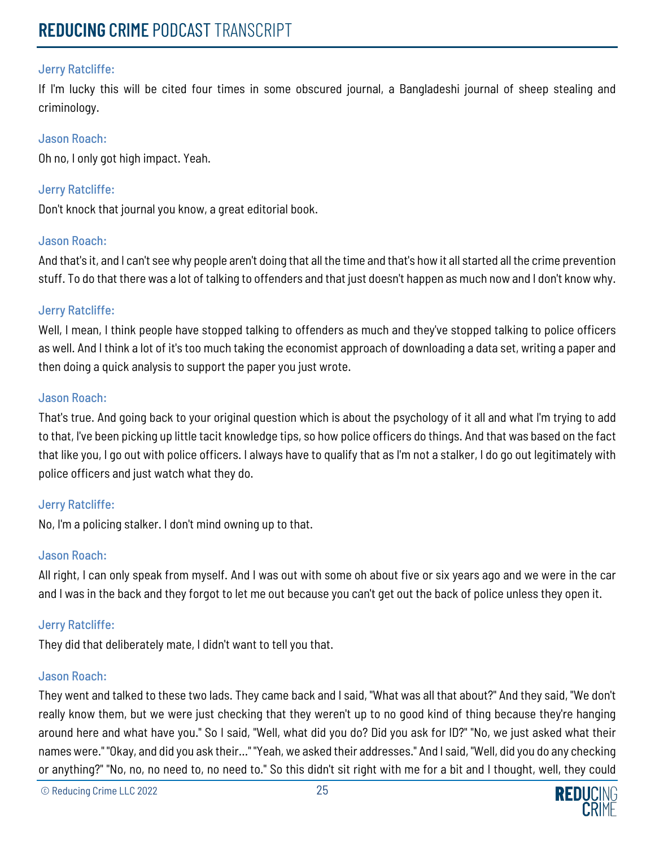If I'm lucky this will be cited four times in some obscured journal, a Bangladeshi journal of sheep stealing and criminology.

## Jason Roach:

Oh no, I only got high impact. Yeah.

# Jerry Ratcliffe:

Don't knock that journal you know, a great editorial book.

# Jason Roach:

And that's it, and I can't see why people aren't doing that all the time and that's how it all started all the crime prevention stuff. To do that there was a lot of talking to offenders and that just doesn't happen as much now and I don't know why.

# Jerry Ratcliffe:

Well, I mean, I think people have stopped talking to offenders as much and they've stopped talking to police officers as well. And I think a lot of it's too much taking the economist approach of downloading a data set, writing a paper and then doing a quick analysis to support the paper you just wrote.

#### Jason Roach:

That's true. And going back to your original question which is about the psychology of it all and what I'm trying to add to that, I've been picking up little tacit knowledge tips, so how police officers do things. And that was based on the fact that like you, I go out with police officers. I always have to qualify that as I'm not a stalker, I do go out legitimately with police officers and just watch what they do.

# Jerry Ratcliffe:

No, I'm a policing stalker. I don't mind owning up to that.

# Jason Roach:

All right, I can only speak from myself. And I was out with some oh about five or six years ago and we were in the car and I was in the back and they forgot to let me out because you can't get out the back of police unless they open it.

# Jerry Ratcliffe:

They did that deliberately mate, I didn't want to tell you that.

#### Jason Roach:

They went and talked to these two lads. They came back and I said, "What was all that about?" And they said, "We don't really know them, but we were just checking that they weren't up to no good kind of thing because they're hanging around here and what have you." So I said, "Well, what did you do? Did you ask for ID?" "No, we just asked what their names were." "Okay, and did you ask their..." "Yeah, we asked their addresses." And I said, "Well, did you do any checking or anything?" "No, no, no need to, no need to." So this didn't sit right with me for a bit and I thought, well, they could

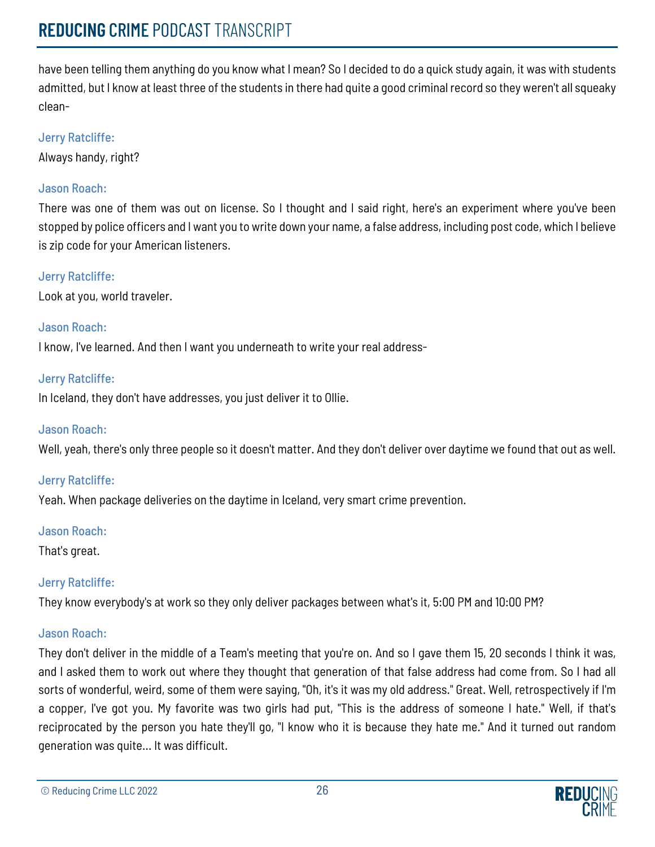have been telling them anything do you know what I mean? So I decided to do a quick study again, it was with students admitted, but I know at least three of the students in there had quite a good criminal record so they weren't all squeaky clean-

# Jerry Ratcliffe:

Always handy, right?

# Jason Roach:

There was one of them was out on license. So I thought and I said right, here's an experiment where you've been stopped by police officers and I want you to write down your name, a false address, including post code, which I believe is zip code for your American listeners.

# Jerry Ratcliffe:

Look at you, world traveler.

# Jason Roach:

I know, I've learned. And then I want you underneath to write your real address-

# Jerry Ratcliffe:

In Iceland, they don't have addresses, you just deliver it to Ollie.

# Jason Roach:

Well, yeah, there's only three people so it doesn't matter. And they don't deliver over daytime we found that out as well.

# Jerry Ratcliffe:

Yeah. When package deliveries on the daytime in Iceland, very smart crime prevention.

# Jason Roach:

That's great.

# Jerry Ratcliffe:

They know everybody's at work so they only deliver packages between what's it, 5:00 PM and 10:00 PM?

# Jason Roach:

They don't deliver in the middle of a Team's meeting that you're on. And so I gave them 15, 20 seconds I think it was, and I asked them to work out where they thought that generation of that false address had come from. So I had all sorts of wonderful, weird, some of them were saying, "Oh, it's it was my old address." Great. Well, retrospectively if I'm a copper, I've got you. My favorite was two girls had put, "This is the address of someone I hate." Well, if that's reciprocated by the person you hate they'll go, "I know who it is because they hate me." And it turned out random generation was quite... It was difficult.

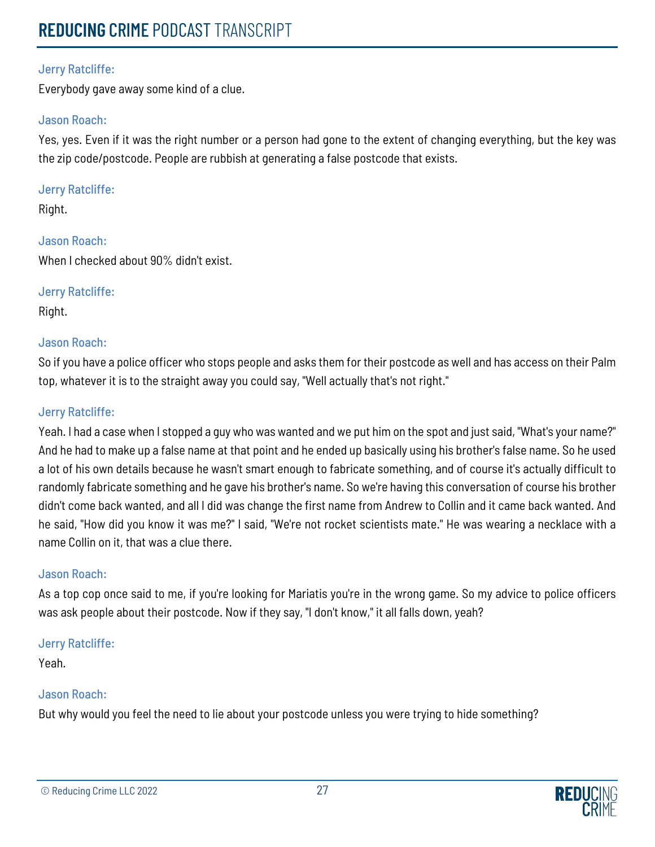Everybody gave away some kind of a clue.

# Jason Roach:

Yes, yes. Even if it was the right number or a person had gone to the extent of changing everything, but the key was the zip code/postcode. People are rubbish at generating a false postcode that exists.

# Jerry Ratcliffe:

Right.

Jason Roach: When I checked about 90% didn't exist.

# Jerry Ratcliffe:

Right.

# Jason Roach:

So if you have a police officer who stops people and asks them for their postcode as well and has access on their Palm top, whatever it is to the straight away you could say, "Well actually that's not right."

# Jerry Ratcliffe:

Yeah. I had a case when I stopped a guy who was wanted and we put him on the spot and just said, "What's your name?" And he had to make up a false name at that point and he ended up basically using his brother's false name. So he used a lot of his own details because he wasn't smart enough to fabricate something, and of course it's actually difficult to randomly fabricate something and he gave his brother's name. So we're having this conversation of course his brother didn't come back wanted, and all I did was change the first name from Andrew to Collin and it came back wanted. And he said, "How did you know it was me?" I said, "We're not rocket scientists mate." He was wearing a necklace with a name Collin on it, that was a clue there.

# Jason Roach:

As a top cop once said to me, if you're looking for Mariatis you're in the wrong game. So my advice to police officers was ask people about their postcode. Now if they say, "I don't know," it all falls down, yeah?

# Jerry Ratcliffe:

Yeah.

# Jason Roach:

But why would you feel the need to lie about your postcode unless you were trying to hide something?

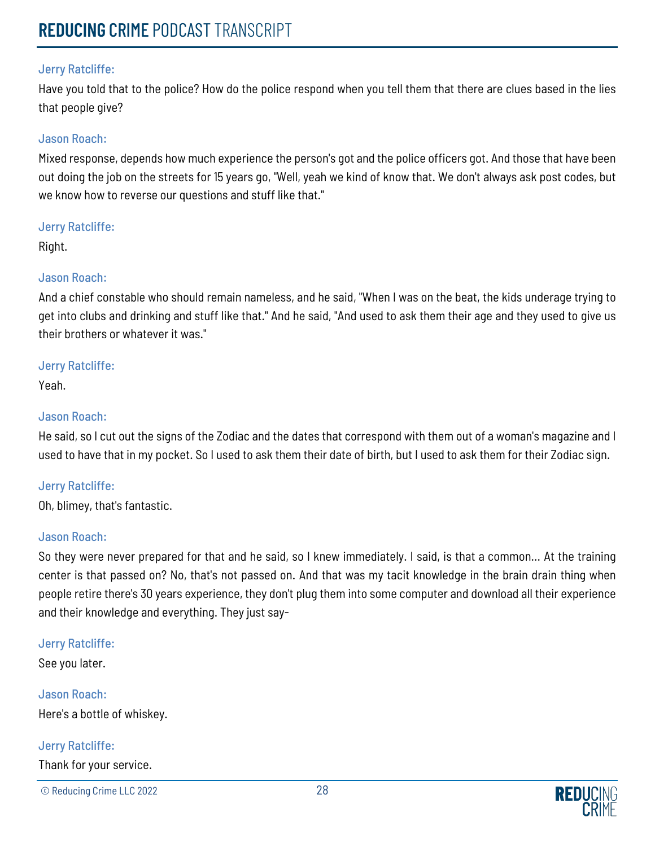Have you told that to the police? How do the police respond when you tell them that there are clues based in the lies that people give?

## Jason Roach:

Mixed response, depends how much experience the person's got and the police officers got. And those that have been out doing the job on the streets for 15 years go, "Well, yeah we kind of know that. We don't always ask post codes, but we know how to reverse our questions and stuff like that."

#### Jerry Ratcliffe:

Right.

# Jason Roach:

And a chief constable who should remain nameless, and he said, "When I was on the beat, the kids underage trying to get into clubs and drinking and stuff like that." And he said, "And used to ask them their age and they used to give us their brothers or whatever it was."

#### Jerry Ratcliffe:

Yeah.

# Jason Roach:

He said, so I cut out the signs of the Zodiac and the dates that correspond with them out of a woman's magazine and I used to have that in my pocket. So I used to ask them their date of birth, but I used to ask them for their Zodiac sign.

# Jerry Ratcliffe:

Oh, blimey, that's fantastic.

# Jason Roach:

So they were never prepared for that and he said, so I knew immediately. I said, is that a common... At the training center is that passed on? No, that's not passed on. And that was my tacit knowledge in the brain drain thing when people retire there's 30 years experience, they don't plug them into some computer and download all their experience and their knowledge and everything. They just say-

# Jerry Ratcliffe:

See you later.

Jason Roach: Here's a bottle of whiskey.

# Jerry Ratcliffe:

Thank for your service.

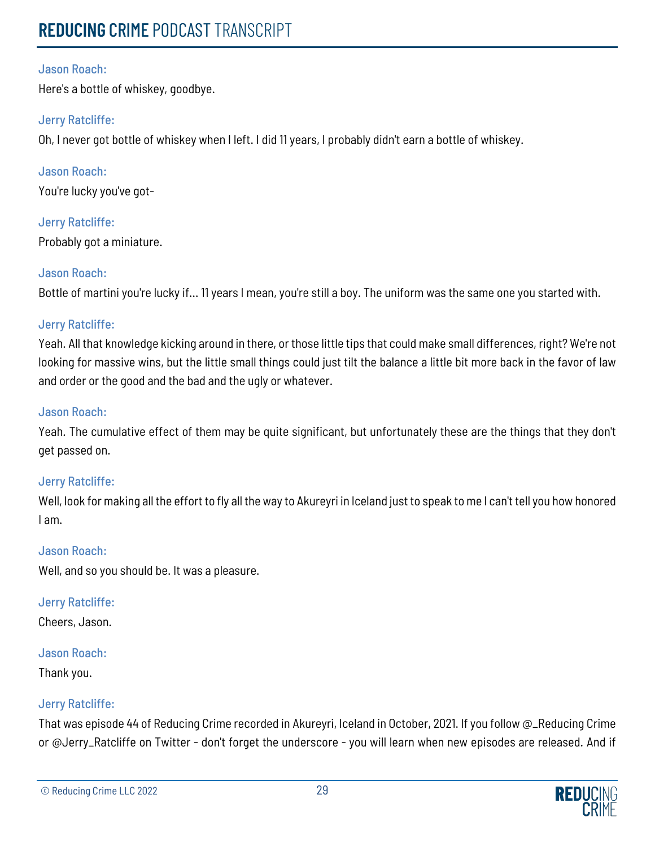Here's a bottle of whiskey, goodbye.

# Jerry Ratcliffe:

Oh, I never got bottle of whiskey when I left. I did 11 years, I probably didn't earn a bottle of whiskey.

Jason Roach: You're lucky you've got-

Jerry Ratcliffe: Probably got a miniature.

# Jason Roach:

Bottle of martini you're lucky if... 11 years I mean, you're still a boy. The uniform was the same one you started with.

# Jerry Ratcliffe:

Yeah. All that knowledge kicking around in there, or those little tips that could make small differences, right? We're not looking for massive wins, but the little small things could just tilt the balance a little bit more back in the favor of law and order or the good and the bad and the ugly or whatever.

# Jason Roach:

Yeah. The cumulative effect of them may be quite significant, but unfortunately these are the things that they don't get passed on.

# Jerry Ratcliffe:

Well, look for making all the effort to fly all the way to Akureyri in Iceland just to speak to me I can't tell you how honored I am.

# Jason Roach:

Well, and so you should be. It was a pleasure.

# Jerry Ratcliffe:

Cheers, Jason.

# Jason Roach:

Thank you.

# Jerry Ratcliffe:

That was episode 44 of Reducing Crime recorded in Akureyri, Iceland in October, 2021. If you follow @\_Reducing Crime or @Jerry\_Ratcliffe on Twitter - don't forget the underscore - you will learn when new episodes are released. And if